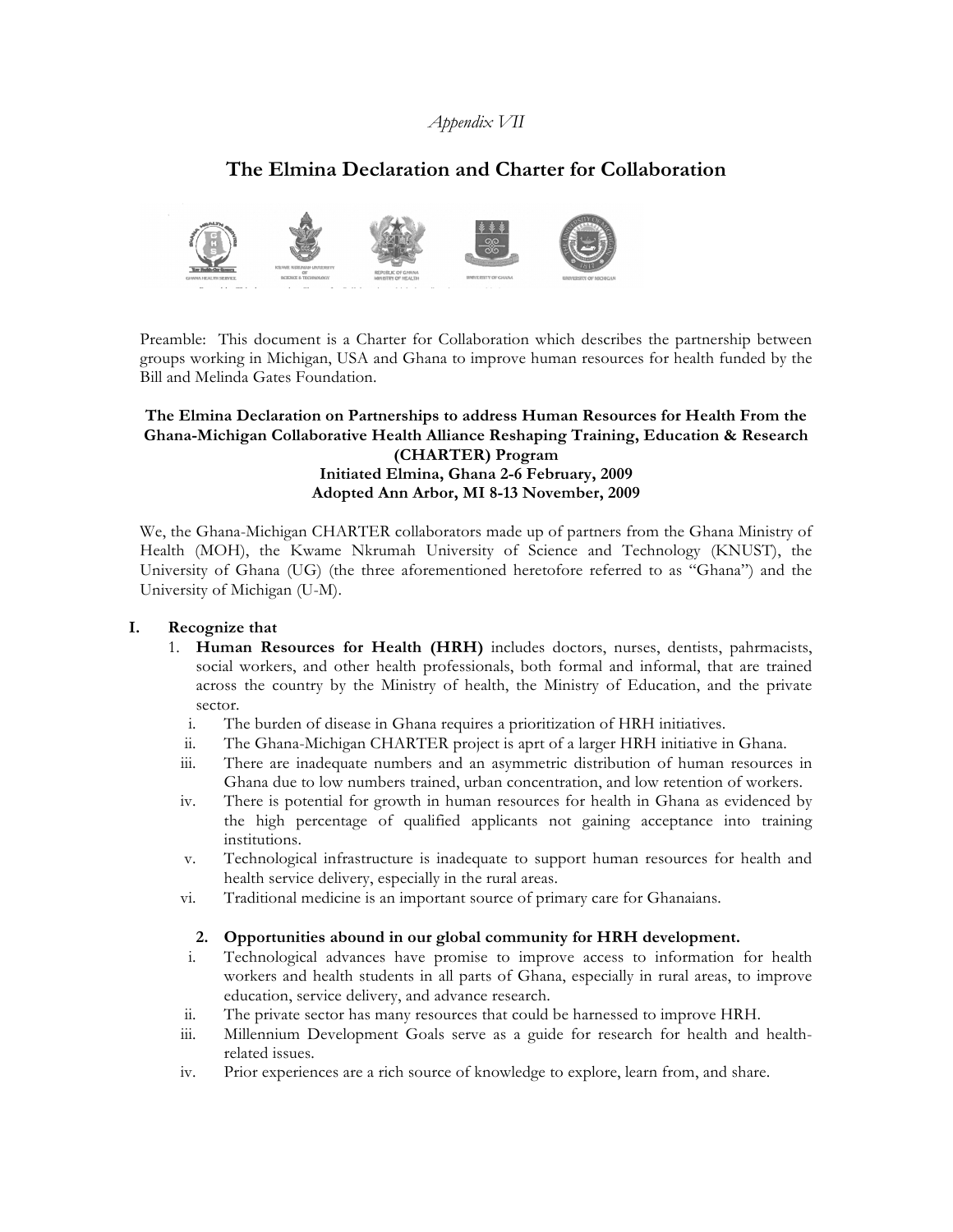## *Appendix VII*

# **The Elmina Declaration and Charter for Collaboration**



Preamble: This document is a Charter for Collaboration which describes the partnership between groups working in Michigan, USA and Ghana to improve human resources for health funded by the Bill and Melinda Gates Foundation.

### **The Elmina Declaration on Partnerships to address Human Resources for Health From the Ghana-Michigan Collaborative Health Alliance Reshaping Training, Education & Research (CHARTER) Program Initiated Elmina, Ghana 2-6 February, 2009 Adopted Ann Arbor, MI 8-13 November, 2009**

We, the Ghana-Michigan CHARTER collaborators made up of partners from the Ghana Ministry of Health (MOH), the Kwame Nkrumah University of Science and Technology (KNUST), the University of Ghana (UG) (the three aforementioned heretofore referred to as "Ghana") and the University of Michigan (U-M).

#### **I. Recognize that**

- 1. **Human Resources for Health (HRH)** includes doctors, nurses, dentists, pahrmacists, social workers, and other health professionals, both formal and informal, that are trained across the country by the Ministry of health, the Ministry of Education, and the private sector.
	- i. The burden of disease in Ghana requires a prioritization of HRH initiatives.
	- ii. The Ghana-Michigan CHARTER project is aprt of a larger HRH initiative in Ghana.
	- iii. There are inadequate numbers and an asymmetric distribution of human resources in Ghana due to low numbers trained, urban concentration, and low retention of workers.
	- iv. There is potential for growth in human resources for health in Ghana as evidenced by the high percentage of qualified applicants not gaining acceptance into training institutions.
	- v. Technological infrastructure is inadequate to support human resources for health and health service delivery, especially in the rural areas.
	- vi. Traditional medicine is an important source of primary care for Ghanaians.

## **2. Opportunities abound in our global community for HRH development.**

- i. Technological advances have promise to improve access to information for health workers and health students in all parts of Ghana, especially in rural areas, to improve education, service delivery, and advance research.
- ii. The private sector has many resources that could be harnessed to improve HRH.
- iii. Millennium Development Goals serve as a guide for research for health and healthrelated issues.
- iv. Prior experiences are a rich source of knowledge to explore, learn from, and share.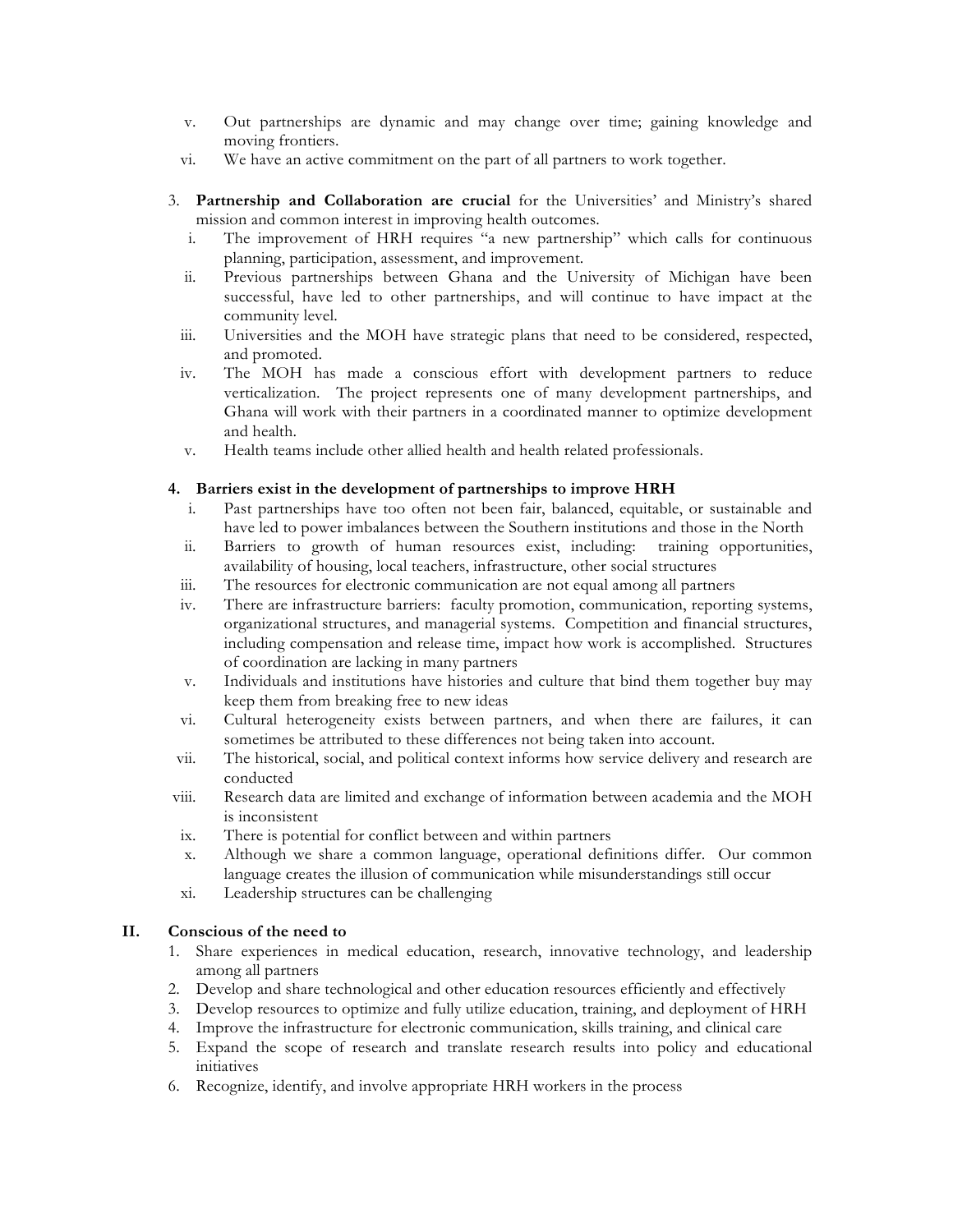- v. Out partnerships are dynamic and may change over time; gaining knowledge and moving frontiers.
- vi. We have an active commitment on the part of all partners to work together.
- 3. **Partnership and Collaboration are crucial** for the Universities' and Ministry's shared mission and common interest in improving health outcomes.
	- i. The improvement of HRH requires "a new partnership" which calls for continuous planning, participation, assessment, and improvement.
	- ii. Previous partnerships between Ghana and the University of Michigan have been successful, have led to other partnerships, and will continue to have impact at the community level.
	- iii. Universities and the MOH have strategic plans that need to be considered, respected, and promoted.
	- iv. The MOH has made a conscious effort with development partners to reduce verticalization. The project represents one of many development partnerships, and Ghana will work with their partners in a coordinated manner to optimize development and health.
	- v. Health teams include other allied health and health related professionals.

### **4. Barriers exist in the development of partnerships to improve HRH**

- i. Past partnerships have too often not been fair, balanced, equitable, or sustainable and have led to power imbalances between the Southern institutions and those in the North
- ii. Barriers to growth of human resources exist, including: training opportunities, availability of housing, local teachers, infrastructure, other social structures
- iii. The resources for electronic communication are not equal among all partners
- iv. There are infrastructure barriers: faculty promotion, communication, reporting systems, organizational structures, and managerial systems. Competition and financial structures, including compensation and release time, impact how work is accomplished. Structures of coordination are lacking in many partners
- v. Individuals and institutions have histories and culture that bind them together buy may keep them from breaking free to new ideas
- vi. Cultural heterogeneity exists between partners, and when there are failures, it can sometimes be attributed to these differences not being taken into account.
- vii. The historical, social, and political context informs how service delivery and research are conducted
- viii. Research data are limited and exchange of information between academia and the MOH is inconsistent
- ix. There is potential for conflict between and within partners
- x. Although we share a common language, operational definitions differ. Our common language creates the illusion of communication while misunderstandings still occur
- xi. Leadership structures can be challenging

## **II. Conscious of the need to**

- 1. Share experiences in medical education, research, innovative technology, and leadership among all partners
- 2. Develop and share technological and other education resources efficiently and effectively
- 3. Develop resources to optimize and fully utilize education, training, and deployment of HRH
- 4. Improve the infrastructure for electronic communication, skills training, and clinical care
- 5. Expand the scope of research and translate research results into policy and educational initiatives
- 6. Recognize, identify, and involve appropriate HRH workers in the process